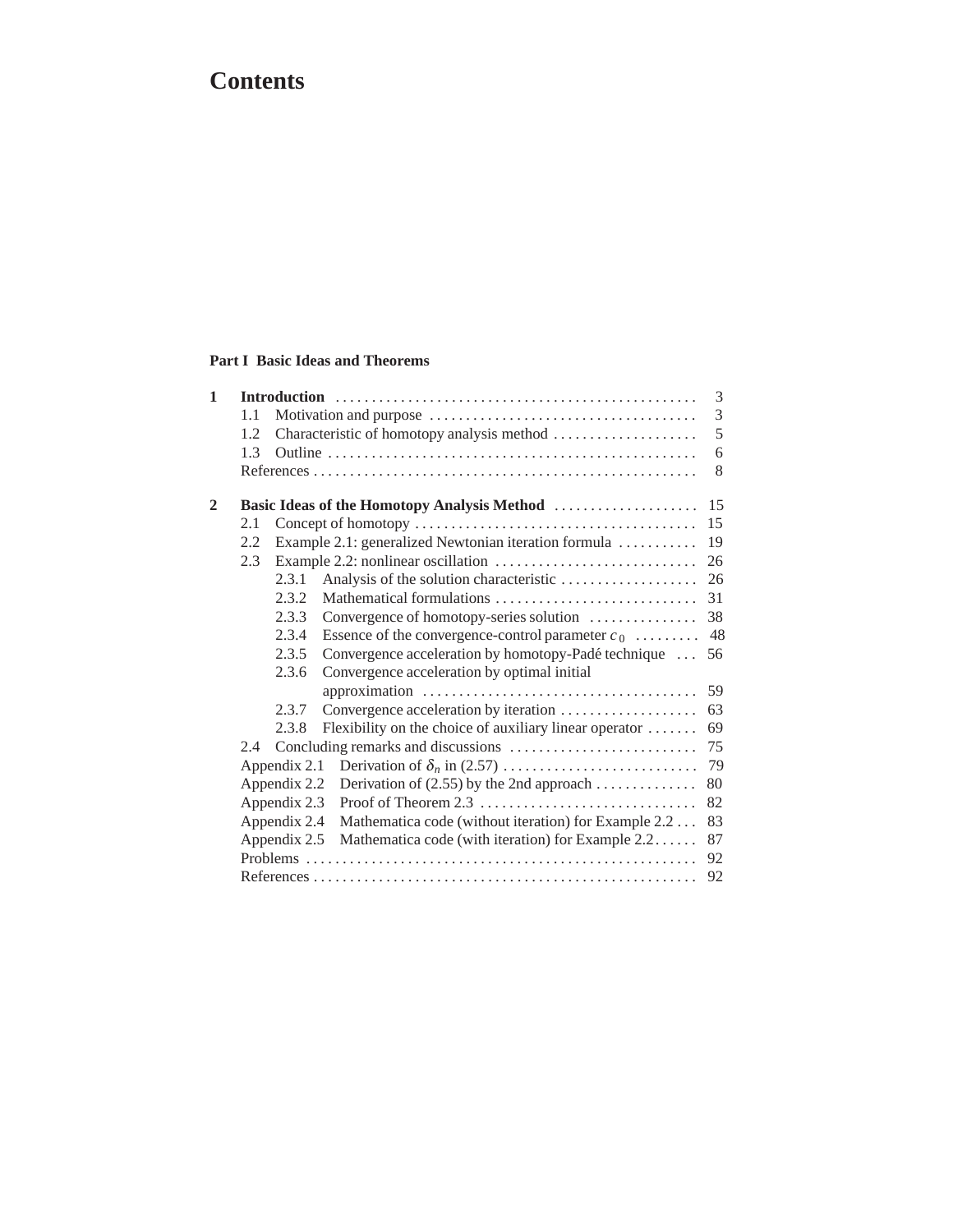# **Contents**

#### **Part I Basic Ideas and Theorems**

|     |       |                                                        | 3                                                                                                                                    |
|-----|-------|--------------------------------------------------------|--------------------------------------------------------------------------------------------------------------------------------------|
| 1.1 |       |                                                        | 3                                                                                                                                    |
| 1.2 |       |                                                        | 5                                                                                                                                    |
| 1.3 |       |                                                        | 6                                                                                                                                    |
|     |       |                                                        | 8                                                                                                                                    |
|     |       |                                                        | 15                                                                                                                                   |
| 2.1 |       |                                                        | 15                                                                                                                                   |
| 2.2 |       |                                                        | 19                                                                                                                                   |
| 2.3 |       |                                                        | 26                                                                                                                                   |
|     | 2.3.1 |                                                        | 26                                                                                                                                   |
|     | 2.3.2 |                                                        | 31                                                                                                                                   |
|     | 2.3.3 | Convergence of homotopy-series solution                | 38                                                                                                                                   |
|     | 2.3.4 | Essence of the convergence-control parameter $c_0$     | 48                                                                                                                                   |
|     | 2.3.5 | Convergence acceleration by homotopy-Padé technique    | 56                                                                                                                                   |
|     | 2.3.6 | Convergence acceleration by optimal initial            |                                                                                                                                      |
|     |       |                                                        | 59                                                                                                                                   |
|     | 2.3.7 | Convergence acceleration by iteration                  | 63                                                                                                                                   |
|     | 2.3.8 | Flexibility on the choice of auxiliary linear operator | 69                                                                                                                                   |
| 2.4 |       |                                                        | 75                                                                                                                                   |
|     |       |                                                        | 79                                                                                                                                   |
|     |       | Derivation of $(2.55)$ by the 2nd approach             | 80                                                                                                                                   |
|     |       |                                                        | 82                                                                                                                                   |
|     |       | Mathematica code (without iteration) for Example 2.2   | 83                                                                                                                                   |
|     |       | Mathematica code (with iteration) for Example 2.2      | 87                                                                                                                                   |
|     |       |                                                        | 92                                                                                                                                   |
|     |       |                                                        | 92                                                                                                                                   |
|     |       |                                                        | Example 2.1: generalized Newtonian iteration formula<br>Appendix 2.1<br>Appendix 2.2<br>Appendix 2.3<br>Appendix 2.4<br>Appendix 2.5 |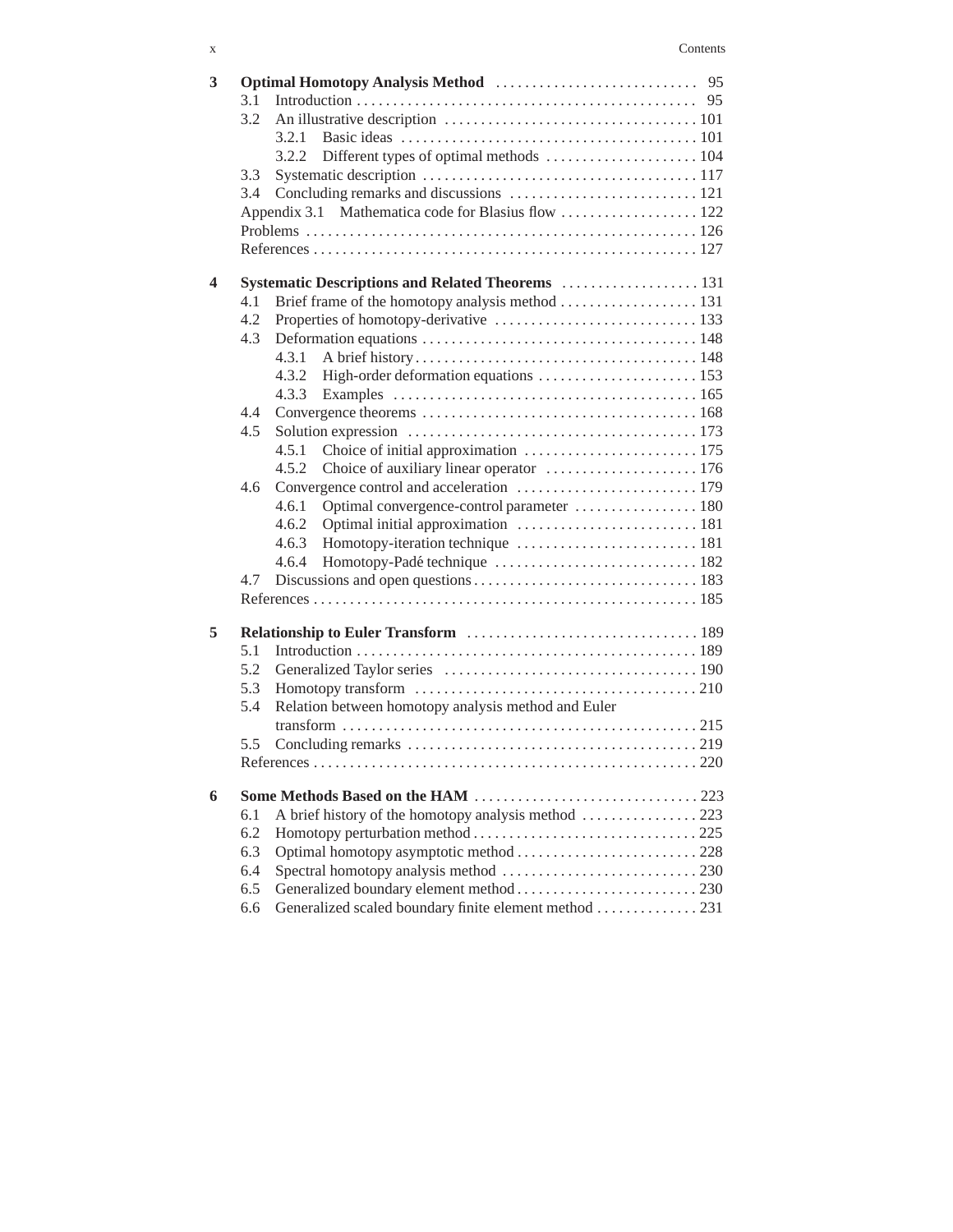| 3 |     |                                                       |  |
|---|-----|-------------------------------------------------------|--|
|   | 3.1 |                                                       |  |
|   | 3.2 |                                                       |  |
|   |     | 3.2.1                                                 |  |
|   |     | 3.2.2                                                 |  |
|   | 3.3 |                                                       |  |
|   | 3.4 |                                                       |  |
|   |     |                                                       |  |
|   |     |                                                       |  |
|   |     |                                                       |  |
| 4 |     | Systematic Descriptions and Related Theorems  131     |  |
|   | 4.1 |                                                       |  |
|   | 4.2 |                                                       |  |
|   | 4.3 |                                                       |  |
|   |     | 4.3.1                                                 |  |
|   |     |                                                       |  |
|   |     | 4.3.3                                                 |  |
|   | 4.4 |                                                       |  |
|   | 4.5 |                                                       |  |
|   |     | 4.5.1                                                 |  |
|   |     | Choice of auxiliary linear operator  176<br>4.5.2     |  |
|   | 4.6 |                                                       |  |
|   |     | 4.6.1                                                 |  |
|   |     | 4.6.2                                                 |  |
|   |     | 4.6.3                                                 |  |
|   |     | 4.6.4                                                 |  |
|   | 4.7 |                                                       |  |
|   |     |                                                       |  |
|   |     |                                                       |  |
| 5 |     |                                                       |  |
|   | 5.1 |                                                       |  |
|   | 5.2 |                                                       |  |
|   | 5.3 |                                                       |  |
|   | 5.4 | Relation between homotopy analysis method and Euler   |  |
|   |     |                                                       |  |
|   | 5.5 |                                                       |  |
|   |     |                                                       |  |
| 6 |     |                                                       |  |
|   | 6.1 |                                                       |  |
|   | 6.2 |                                                       |  |
|   | 6.3 |                                                       |  |
|   | 6.4 |                                                       |  |
|   | 6.5 |                                                       |  |
|   |     |                                                       |  |
|   | 6.6 | Generalized scaled boundary finite element method 231 |  |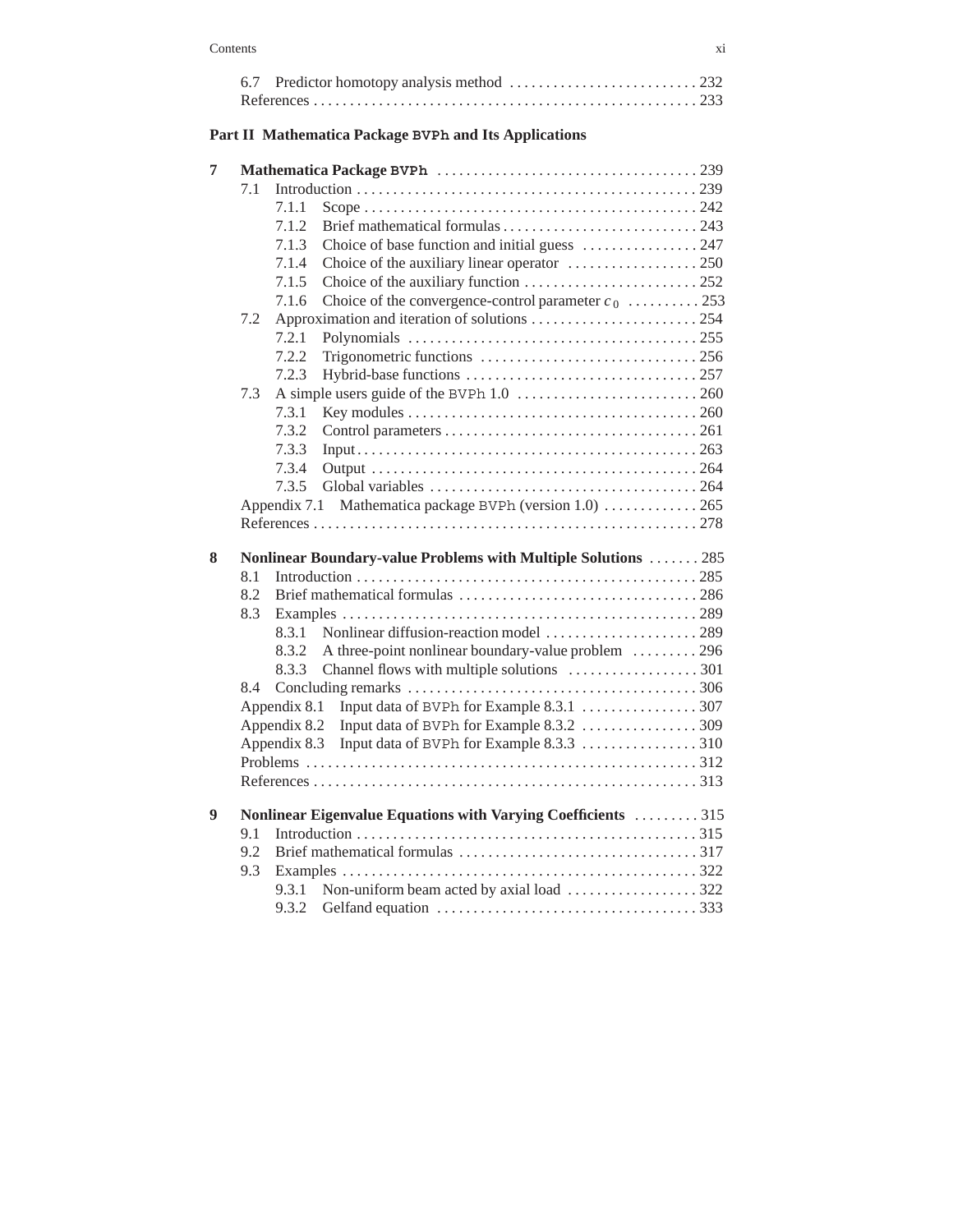### **Part II Mathematica Package BVPh and Its Applications**

| 7 |     |              |                                                                |
|---|-----|--------------|----------------------------------------------------------------|
|   | 7.1 |              |                                                                |
|   |     | 7.1.1        |                                                                |
|   |     | 7.1.2        |                                                                |
|   |     | 7.1.3        | Choice of base function and initial guess  247                 |
|   |     | 7.1.4        |                                                                |
|   |     | 7.1.5        |                                                                |
|   |     | 7.1.6        | Choice of the convergence-control parameter $c_0$ 253          |
|   | 7.2 |              |                                                                |
|   |     | 7.2.1        |                                                                |
|   |     | 7.2.2        |                                                                |
|   |     | 7.2.3        |                                                                |
|   | 7.3 |              |                                                                |
|   |     | 7.3.1        |                                                                |
|   |     | 7.3.2        |                                                                |
|   |     | 7.3.3        |                                                                |
|   |     | 7.3.4        |                                                                |
|   |     | 7.3.5        |                                                                |
|   |     |              | Appendix 7.1 Mathematica package BVPh (version 1.0)  265       |
|   |     |              |                                                                |
|   |     |              |                                                                |
|   |     |              |                                                                |
|   |     |              | Nonlinear Boundary-value Problems with Multiple Solutions  285 |
|   | 8.1 |              |                                                                |
|   | 8.2 |              |                                                                |
|   | 8.3 |              |                                                                |
|   |     | 8.3.1        |                                                                |
|   |     | 8.3.2        | A three-point nonlinear boundary-value problem 296             |
|   |     | 8.3.3        |                                                                |
|   | 8.4 |              |                                                                |
|   |     |              |                                                                |
|   |     |              |                                                                |
|   |     | Appendix 8.3 |                                                                |
| 8 |     |              |                                                                |
|   |     |              |                                                                |
| 9 |     |              | Nonlinear Eigenvalue Equations with Varying Coefficients 315   |
|   | 9.1 |              |                                                                |
|   | 9.2 |              |                                                                |
|   | 9.3 |              |                                                                |
|   |     | 9.3.2        |                                                                |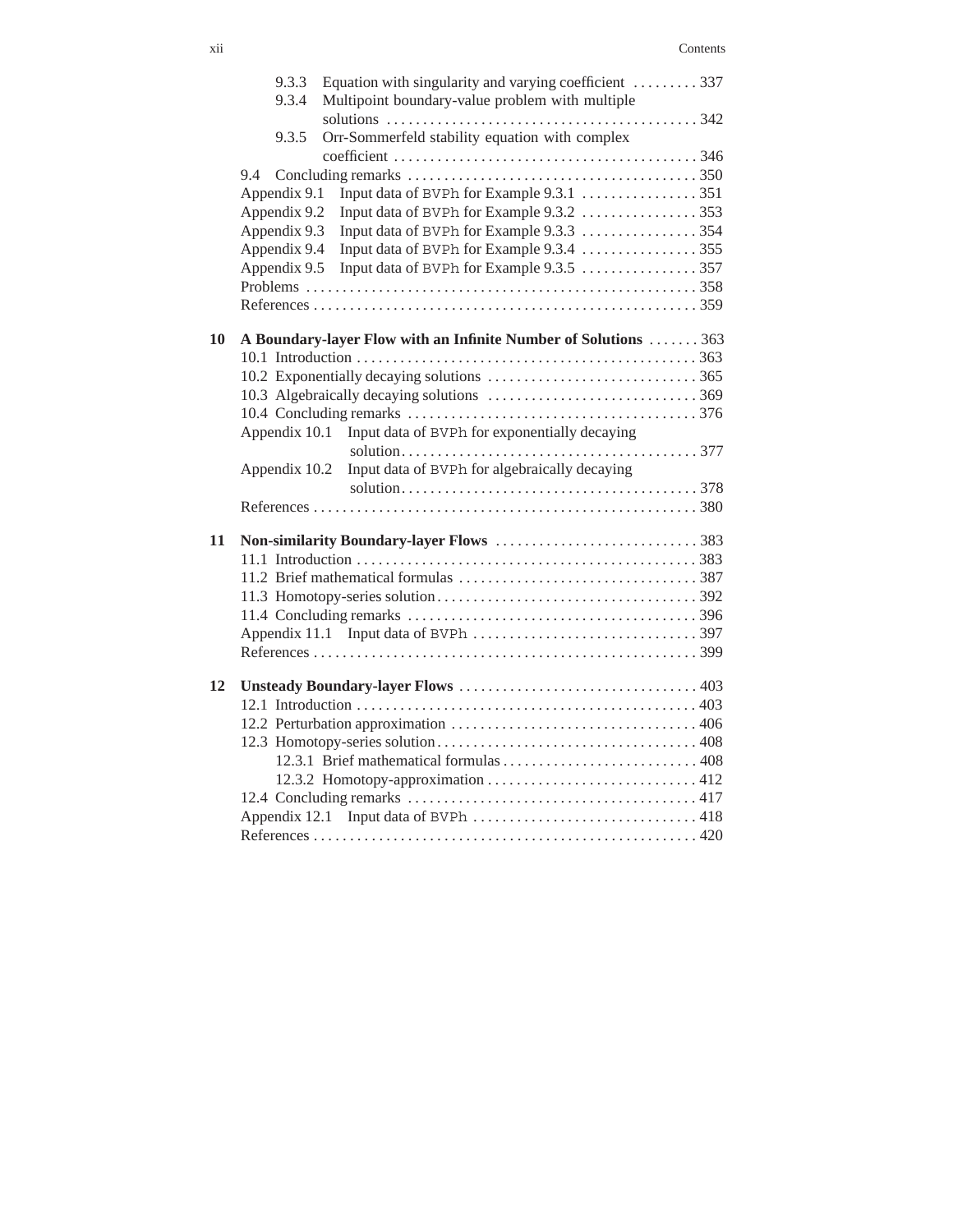|    | Equation with singularity and varying coefficient 337<br>9.3.3<br>Multipoint boundary-value problem with multiple<br>9.3.4 |  |
|----|----------------------------------------------------------------------------------------------------------------------------|--|
|    |                                                                                                                            |  |
|    |                                                                                                                            |  |
|    | Orr-Sommerfeld stability equation with complex<br>9.3.5                                                                    |  |
|    |                                                                                                                            |  |
|    | 9.4                                                                                                                        |  |
|    | Appendix 9.1                                                                                                               |  |
|    | Appendix 9.2<br>Input data of BVPh for Example 9.3.2 353                                                                   |  |
|    | Appendix 9.3                                                                                                               |  |
|    | Appendix 9.4                                                                                                               |  |
|    |                                                                                                                            |  |
|    |                                                                                                                            |  |
|    |                                                                                                                            |  |
| 10 | A Boundary-layer Flow with an Infinite Number of Solutions  363                                                            |  |
|    |                                                                                                                            |  |
|    |                                                                                                                            |  |
|    |                                                                                                                            |  |
|    |                                                                                                                            |  |
|    | Appendix 10.1 Input data of BVPh for exponentially decaying                                                                |  |
|    |                                                                                                                            |  |
|    | Input data of BVPh for algebraically decaying<br>Appendix 10.2                                                             |  |
|    |                                                                                                                            |  |
|    |                                                                                                                            |  |
|    |                                                                                                                            |  |
| 11 |                                                                                                                            |  |
|    |                                                                                                                            |  |
|    |                                                                                                                            |  |
|    |                                                                                                                            |  |
|    |                                                                                                                            |  |
|    |                                                                                                                            |  |
|    |                                                                                                                            |  |
| 12 |                                                                                                                            |  |
|    |                                                                                                                            |  |
|    |                                                                                                                            |  |
|    |                                                                                                                            |  |
|    |                                                                                                                            |  |
|    |                                                                                                                            |  |
|    |                                                                                                                            |  |
|    |                                                                                                                            |  |
|    |                                                                                                                            |  |
|    |                                                                                                                            |  |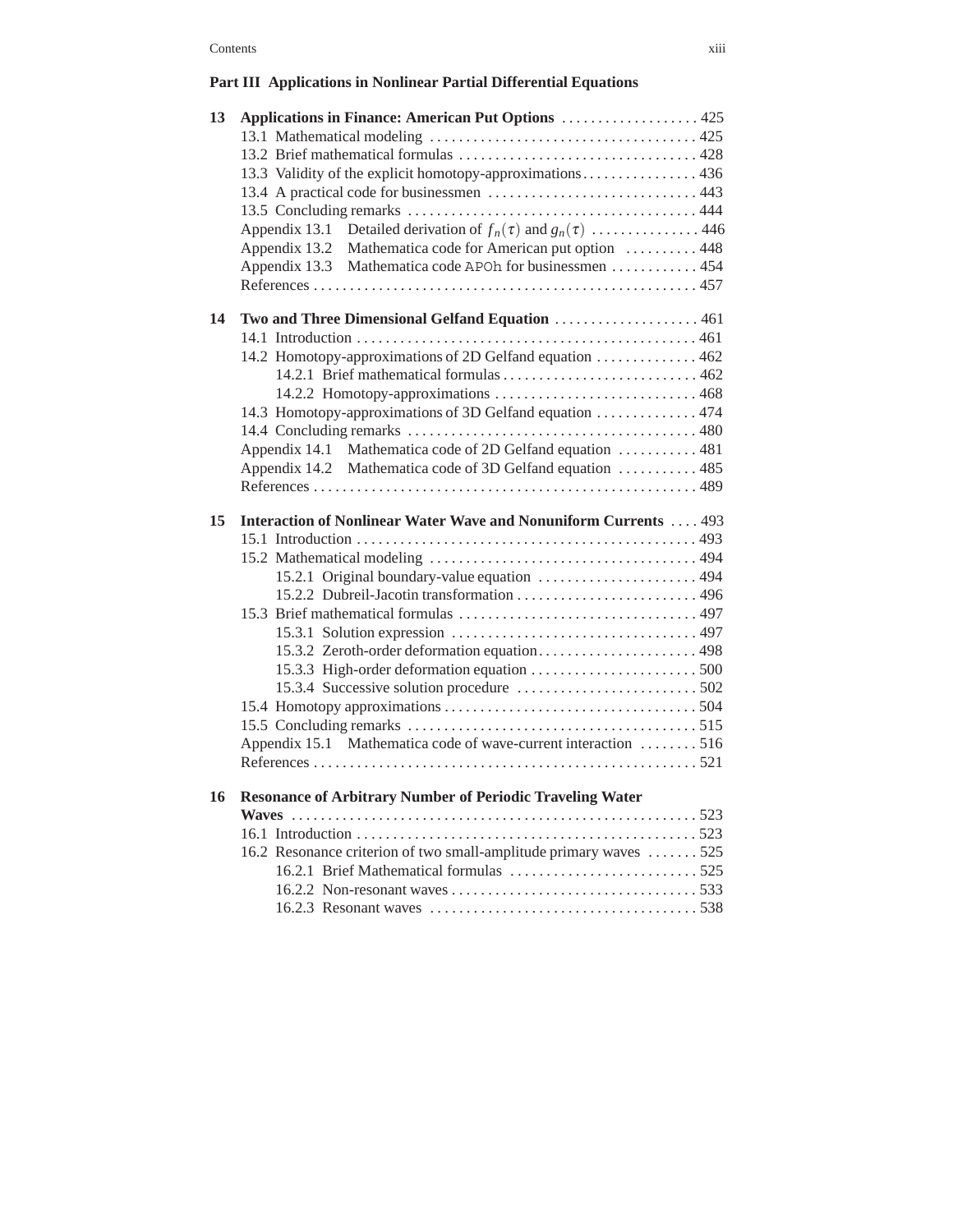## **Part III Applications in Nonlinear Partial Differential Equations**

| 13.3 Validity of the explicit homotopy-approximations 436                     |  |
|-------------------------------------------------------------------------------|--|
|                                                                               |  |
|                                                                               |  |
|                                                                               |  |
|                                                                               |  |
|                                                                               |  |
| Appendix 13.1 Detailed derivation of $f_n(\tau)$ and $g_n(\tau)$ 446          |  |
| Appendix 13.2 Mathematica code for American put option  448                   |  |
| Appendix 13.3 Mathematica code APOh for businessmen  454                      |  |
|                                                                               |  |
| 14<br>Two and Three Dimensional Gelfand Equation  461                         |  |
|                                                                               |  |
|                                                                               |  |
|                                                                               |  |
|                                                                               |  |
| 14.3 Homotopy-approximations of 3D Gelfand equation  474                      |  |
|                                                                               |  |
| Appendix 14.1 Mathematica code of 2D Gelfand equation  481                    |  |
| Appendix 14.2 Mathematica code of 3D Gelfand equation  485                    |  |
|                                                                               |  |
|                                                                               |  |
| <b>Interaction of Nonlinear Water Wave and Nonuniform Currents  493</b><br>15 |  |
|                                                                               |  |
| 15.2.1 Original boundary-value equation  494                                  |  |
|                                                                               |  |
|                                                                               |  |
|                                                                               |  |
|                                                                               |  |
|                                                                               |  |
| 15.3.2 Zeroth-order deformation equation 498                                  |  |
|                                                                               |  |
|                                                                               |  |
|                                                                               |  |
| Appendix 15.1 Mathematica code of wave-current interaction 516                |  |
|                                                                               |  |
|                                                                               |  |
| <b>Resonance of Arbitrary Number of Periodic Traveling Water</b><br>16        |  |
|                                                                               |  |
|                                                                               |  |
| 16.2 Resonance criterion of two small-amplitude primary waves 525             |  |
|                                                                               |  |